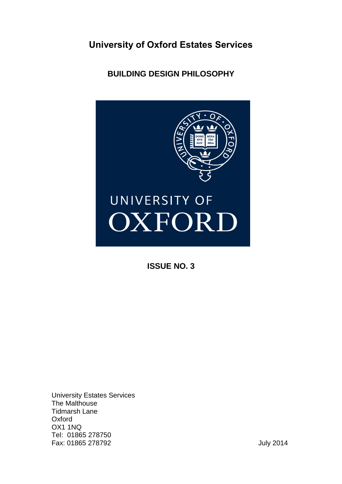**University of Oxford Estates Services**

**BUILDING DESIGN PHILOSOPHY**



**ISSUE NO. 3**

University Estates Services The Malthouse Tidmarsh Lane **Oxford** OX1 1NQ Tel: 01865 278750 Fax: 01865 278792 July 2014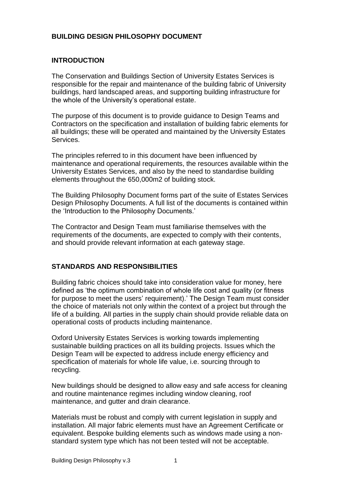# **BUILDING DESIGN PHILOSOPHY DOCUMENT**

#### **INTRODUCTION**

The Conservation and Buildings Section of University Estates Services is responsible for the repair and maintenance of the building fabric of University buildings, hard landscaped areas, and supporting building infrastructure for the whole of the University's operational estate.

The purpose of this document is to provide guidance to Design Teams and Contractors on the specification and installation of building fabric elements for all buildings; these will be operated and maintained by the University Estates Services.

The principles referred to in this document have been influenced by maintenance and operational requirements, the resources available within the University Estates Services, and also by the need to standardise building elements throughout the 650,000m2 of building stock.

The Building Philosophy Document forms part of the suite of Estates Services Design Philosophy Documents. A full list of the documents is contained within the 'Introduction to the Philosophy Documents.'

The Contractor and Design Team must familiarise themselves with the requirements of the documents, are expected to comply with their contents, and should provide relevant information at each gateway stage.

#### **STANDARDS AND RESPONSIBILITIES**

Building fabric choices should take into consideration value for money, here defined as 'the optimum combination of whole life cost and quality (or fitness for purpose to meet the users' requirement).' The Design Team must consider the choice of materials not only within the context of a project but through the life of a building. All parties in the supply chain should provide reliable data on operational costs of products including maintenance.

Oxford University Estates Services is working towards implementing sustainable building practices on all its building projects. Issues which the Design Team will be expected to address include energy efficiency and specification of materials for whole life value, i.e. sourcing through to recycling.

New buildings should be designed to allow easy and safe access for cleaning and routine maintenance regimes including window cleaning, roof maintenance, and gutter and drain clearance.

Materials must be robust and comply with current legislation in supply and installation. All major fabric elements must have an Agreement Certificate or equivalent. Bespoke building elements such as windows made using a nonstandard system type which has not been tested will not be acceptable.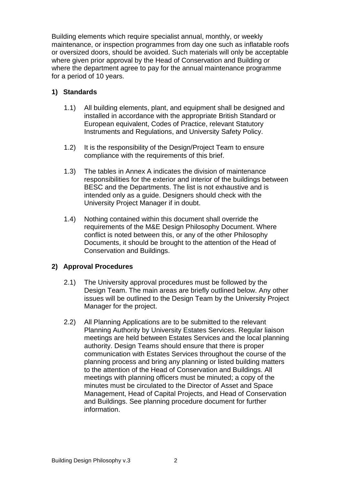Building elements which require specialist annual, monthly, or weekly maintenance, or inspection programmes from day one such as inflatable roofs or oversized doors, should be avoided. Such materials will only be acceptable where given prior approval by the Head of Conservation and Building or where the department agree to pay for the annual maintenance programme for a period of 10 years.

# **1) Standards**

- 1.1) All building elements, plant, and equipment shall be designed and installed in accordance with the appropriate British Standard or European equivalent, Codes of Practice, relevant Statutory Instruments and Regulations, and University Safety Policy.
- 1.2) It is the responsibility of the Design/Project Team to ensure compliance with the requirements of this brief.
- 1.3) The tables in Annex A indicates the division of maintenance responsibilities for the exterior and interior of the buildings between BESC and the Departments. The list is not exhaustive and is intended only as a guide. Designers should check with the University Project Manager if in doubt.
- 1.4) Nothing contained within this document shall override the requirements of the M&E Design Philosophy Document. Where conflict is noted between this, or any of the other Philosophy Documents, it should be brought to the attention of the Head of Conservation and Buildings.

# **2) Approval Procedures**

- 2.1) The University approval procedures must be followed by the Design Team. The main areas are briefly outlined below. Any other issues will be outlined to the Design Team by the University Project Manager for the project.
- 2.2) All Planning Applications are to be submitted to the relevant Planning Authority by University Estates Services. Regular liaison meetings are held between Estates Services and the local planning authority. Design Teams should ensure that there is proper communication with Estates Services throughout the course of the planning process and bring any planning or listed building matters to the attention of the Head of Conservation and Buildings. All meetings with planning officers must be minuted; a copy of the minutes must be circulated to the Director of Asset and Space Management, Head of Capital Projects, and Head of Conservation and Buildings. See planning procedure document for further information.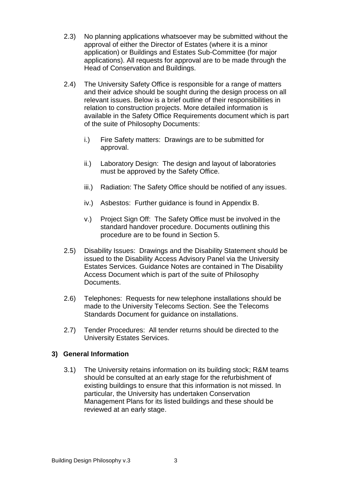- 2.3) No planning applications whatsoever may be submitted without the approval of either the Director of Estates (where it is a minor application) or Buildings and Estates Sub-Committee (for major applications). All requests for approval are to be made through the Head of Conservation and Buildings.
- 2.4) The University Safety Office is responsible for a range of matters and their advice should be sought during the design process on all relevant issues. Below is a brief outline of their responsibilities in relation to construction projects. More detailed information is available in the Safety Office Requirements document which is part of the suite of Philosophy Documents:
	- i.) Fire Safety matters: Drawings are to be submitted for approval.
	- ii.) Laboratory Design: The design and layout of laboratories must be approved by the Safety Office.
	- iii.) Radiation: The Safety Office should be notified of any issues.
	- iv.) Asbestos: Further guidance is found in Appendix B.
	- v.) Project Sign Off: The Safety Office must be involved in the standard handover procedure. Documents outlining this procedure are to be found in Section 5.
- 2.5) Disability Issues: Drawings and the Disability Statement should be issued to the Disability Access Advisory Panel via the University Estates Services. Guidance Notes are contained in The Disability Access Document which is part of the suite of Philosophy Documents.
- 2.6) Telephones: Requests for new telephone installations should be made to the University Telecoms Section. See the Telecoms Standards Document for guidance on installations.
- 2.7) Tender Procedures: All tender returns should be directed to the University Estates Services.

# **3) General Information**

3.1) The University retains information on its building stock; R&M teams should be consulted at an early stage for the refurbishment of existing buildings to ensure that this information is not missed. In particular, the University has undertaken Conservation Management Plans for its listed buildings and these should be reviewed at an early stage.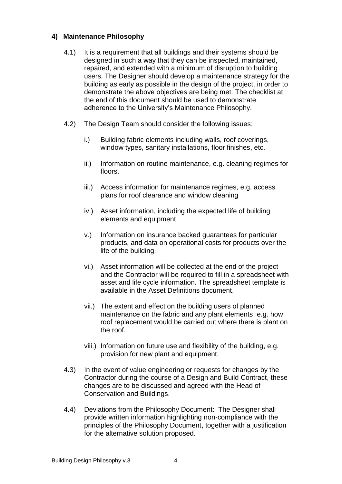# **4) Maintenance Philosophy**

- 4.1) It is a requirement that all buildings and their systems should be designed in such a way that they can be inspected, maintained, repaired, and extended with a minimum of disruption to building users. The Designer should develop a maintenance strategy for the building as early as possible in the design of the project, in order to demonstrate the above objectives are being met. The checklist at the end of this document should be used to demonstrate adherence to the University's Maintenance Philosophy.
- 4.2) The Design Team should consider the following issues:
	- i.) Building fabric elements including walls, roof coverings, window types, sanitary installations, floor finishes, etc.
	- ii.) Information on routine maintenance, e.g. cleaning regimes for floors.
	- iii.) Access information for maintenance regimes, e.g. access plans for roof clearance and window cleaning
	- iv.) Asset information, including the expected life of building elements and equipment
	- v.) Information on insurance backed guarantees for particular products, and data on operational costs for products over the life of the building.
	- vi.) Asset information will be collected at the end of the project and the Contractor will be required to fill in a spreadsheet with asset and life cycle information. The spreadsheet template is available in the Asset Definitions document.
	- vii.) The extent and effect on the building users of planned maintenance on the fabric and any plant elements, e.g. how roof replacement would be carried out where there is plant on the roof.
	- viii.) Information on future use and flexibility of the building, e.g. provision for new plant and equipment.
- 4.3) In the event of value engineering or requests for changes by the Contractor during the course of a Design and Build Contract, these changes are to be discussed and agreed with the Head of Conservation and Buildings.
- 4.4) Deviations from the Philosophy Document: The Designer shall provide written information highlighting non-compliance with the principles of the Philosophy Document, together with a justification for the alternative solution proposed.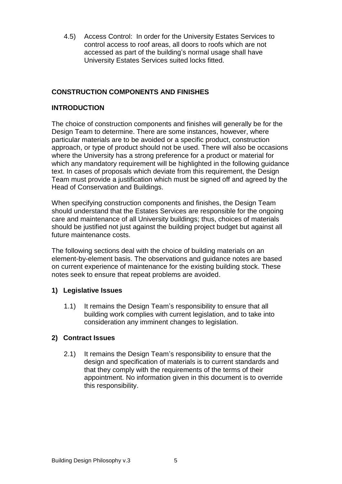4.5) Access Control: In order for the University Estates Services to control access to roof areas, all doors to roofs which are not accessed as part of the building's normal usage shall have University Estates Services suited locks fitted.

# **CONSTRUCTION COMPONENTS AND FINISHES**

# **INTRODUCTION**

The choice of construction components and finishes will generally be for the Design Team to determine. There are some instances, however, where particular materials are to be avoided or a specific product, construction approach, or type of product should not be used. There will also be occasions where the University has a strong preference for a product or material for which any mandatory requirement will be highlighted in the following guidance text. In cases of proposals which deviate from this requirement, the Design Team must provide a justification which must be signed off and agreed by the Head of Conservation and Buildings.

When specifying construction components and finishes, the Design Team should understand that the Estates Services are responsible for the ongoing care and maintenance of all University buildings; thus, choices of materials should be justified not just against the building project budget but against all future maintenance costs.

The following sections deal with the choice of building materials on an element-by-element basis. The observations and guidance notes are based on current experience of maintenance for the existing building stock. These notes seek to ensure that repeat problems are avoided.

# **1) Legislative Issues**

1.1) It remains the Design Team's responsibility to ensure that all building work complies with current legislation, and to take into consideration any imminent changes to legislation.

#### **2) Contract Issues**

2.1) It remains the Design Team's responsibility to ensure that the design and specification of materials is to current standards and that they comply with the requirements of the terms of their appointment. No information given in this document is to override this responsibility.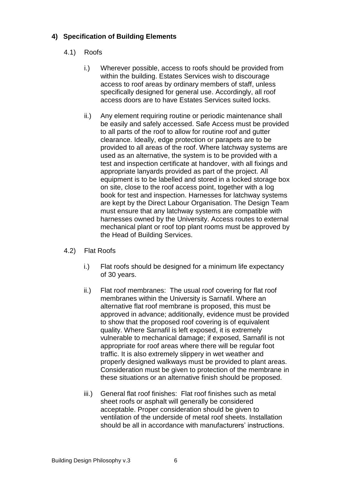# **4) Specification of Building Elements**

# 4.1) Roofs

- i.) Wherever possible, access to roofs should be provided from within the building. Estates Services wish to discourage access to roof areas by ordinary members of staff, unless specifically designed for general use. Accordingly, all roof access doors are to have Estates Services suited locks.
- ii.) Any element requiring routine or periodic maintenance shall be easily and safely accessed. Safe Access must be provided to all parts of the roof to allow for routine roof and gutter clearance. Ideally, edge protection or parapets are to be provided to all areas of the roof. Where latchway systems are used as an alternative, the system is to be provided with a test and inspection certificate at handover, with all fixings and appropriate lanyards provided as part of the project. All equipment is to be labelled and stored in a locked storage box on site, close to the roof access point, together with a log book for test and inspection. Harnesses for latchway systems are kept by the Direct Labour Organisation. The Design Team must ensure that any latchway systems are compatible with harnesses owned by the University. Access routes to external mechanical plant or roof top plant rooms must be approved by the Head of Building Services.

#### 4.2) Flat Roofs

- i.) Flat roofs should be designed for a minimum life expectancy of 30 years.
- ii.) Flat roof membranes: The usual roof covering for flat roof membranes within the University is Sarnafil. Where an alternative flat roof membrane is proposed, this must be approved in advance; additionally, evidence must be provided to show that the proposed roof covering is of equivalent quality. Where Sarnafil is left exposed, it is extremely vulnerable to mechanical damage; if exposed, Sarnafil is not appropriate for roof areas where there will be regular foot traffic. It is also extremely slippery in wet weather and properly designed walkways must be provided to plant areas. Consideration must be given to protection of the membrane in these situations or an alternative finish should be proposed.
- iii.) General flat roof finishes: Flat roof finishes such as metal sheet roofs or asphalt will generally be considered acceptable. Proper consideration should be given to ventilation of the underside of metal roof sheets. Installation should be all in accordance with manufacturers' instructions.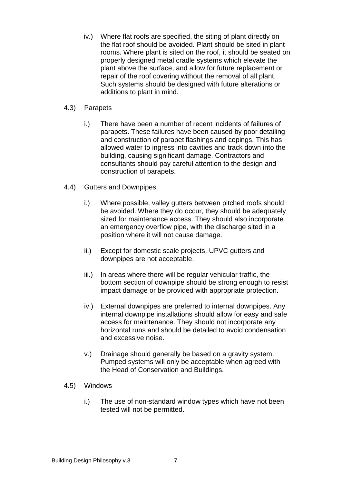iv.) Where flat roofs are specified, the siting of plant directly on the flat roof should be avoided. Plant should be sited in plant rooms. Where plant is sited on the roof, it should be seated on properly designed metal cradle systems which elevate the plant above the surface, and allow for future replacement or repair of the roof covering without the removal of all plant. Such systems should be designed with future alterations or additions to plant in mind.

#### 4.3) Parapets

- i.) There have been a number of recent incidents of failures of parapets. These failures have been caused by poor detailing and construction of parapet flashings and copings. This has allowed water to ingress into cavities and track down into the building, causing significant damage. Contractors and consultants should pay careful attention to the design and construction of parapets.
- 4.4) Gutters and Downpipes
	- i.) Where possible, valley gutters between pitched roofs should be avoided. Where they do occur, they should be adequately sized for maintenance access. They should also incorporate an emergency overflow pipe, with the discharge sited in a position where it will not cause damage.
	- ii.) Except for domestic scale projects, UPVC gutters and downpipes are not acceptable.
	- iii.) In areas where there will be regular vehicular traffic, the bottom section of downpipe should be strong enough to resist impact damage or be provided with appropriate protection.
	- iv.) External downpipes are preferred to internal downpipes. Any internal downpipe installations should allow for easy and safe access for maintenance. They should not incorporate any horizontal runs and should be detailed to avoid condensation and excessive noise.
	- v.) Drainage should generally be based on a gravity system. Pumped systems will only be acceptable when agreed with the Head of Conservation and Buildings.

#### 4.5) Windows

i.) The use of non-standard window types which have not been tested will not be permitted.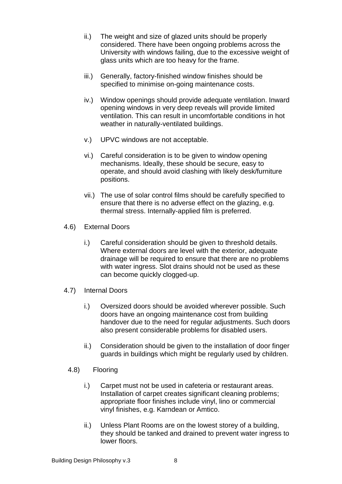- ii.) The weight and size of glazed units should be properly considered. There have been ongoing problems across the University with windows failing, due to the excessive weight of glass units which are too heavy for the frame.
- iii.) Generally, factory-finished window finishes should be specified to minimise on-going maintenance costs.
- iv.) Window openings should provide adequate ventilation. Inward opening windows in very deep reveals will provide limited ventilation. This can result in uncomfortable conditions in hot weather in naturally-ventilated buildings.
- v.) UPVC windows are not acceptable.
- vi.) Careful consideration is to be given to window opening mechanisms. Ideally, these should be secure, easy to operate, and should avoid clashing with likely desk/furniture positions.
- vii.) The use of solar control films should be carefully specified to ensure that there is no adverse effect on the glazing, e.g. thermal stress. Internally-applied film is preferred.
- 4.6) External Doors
	- i.) Careful consideration should be given to threshold details. Where external doors are level with the exterior, adequate drainage will be required to ensure that there are no problems with water ingress. Slot drains should not be used as these can become quickly clogged-up.
- 4.7) Internal Doors
	- i.) Oversized doors should be avoided wherever possible. Such doors have an ongoing maintenance cost from building handover due to the need for regular adjustments. Such doors also present considerable problems for disabled users.
	- ii.) Consideration should be given to the installation of door finger guards in buildings which might be regularly used by children.
	- 4.8) Flooring
		- i.) Carpet must not be used in cafeteria or restaurant areas. Installation of carpet creates significant cleaning problems: appropriate floor finishes include vinyl, lino or commercial vinyl finishes, e.g. Karndean or Amtico.
		- ii.) Unless Plant Rooms are on the lowest storey of a building, they should be tanked and drained to prevent water ingress to lower floors.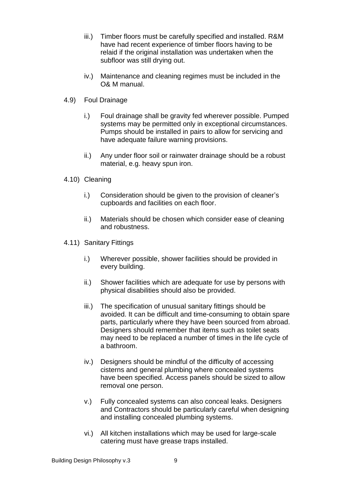- iii.) Timber floors must be carefully specified and installed. R&M have had recent experience of timber floors having to be relaid if the original installation was undertaken when the subfloor was still drying out.
- iv.) Maintenance and cleaning regimes must be included in the O& M manual.
- 4.9) Foul Drainage
	- i.) Foul drainage shall be gravity fed wherever possible. Pumped systems may be permitted only in exceptional circumstances. Pumps should be installed in pairs to allow for servicing and have adequate failure warning provisions.
	- ii.) Any under floor soil or rainwater drainage should be a robust material, e.g. heavy spun iron.
- 4.10) Cleaning
	- i.) Consideration should be given to the provision of cleaner's cupboards and facilities on each floor.
	- ii.) Materials should be chosen which consider ease of cleaning and robustness.
- 4.11) Sanitary Fittings
	- i.) Wherever possible, shower facilities should be provided in every building.
	- ii.) Shower facilities which are adequate for use by persons with physical disabilities should also be provided.
	- iii.) The specification of unusual sanitary fittings should be avoided. It can be difficult and time-consuming to obtain spare parts, particularly where they have been sourced from abroad. Designers should remember that items such as toilet seats may need to be replaced a number of times in the life cycle of a bathroom.
	- iv.) Designers should be mindful of the difficulty of accessing cisterns and general plumbing where concealed systems have been specified. Access panels should be sized to allow removal one person.
	- v.) Fully concealed systems can also conceal leaks. Designers and Contractors should be particularly careful when designing and installing concealed plumbing systems.
	- vi.) All kitchen installations which may be used for large-scale catering must have grease traps installed.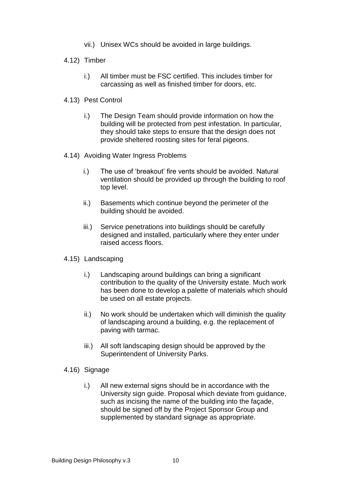- vii.) Unisex WCs should be avoided in large buildings.
- 4.12) Timber
	- i.) All timber must be FSC certified. This includes timber for carcassing as well as finished timber for doors, etc.
- 4.13) Pest Control
	- i.) The Design Team should provide information on how the building will be protected from pest infestation. In particular, they should take steps to ensure that the design does not provide sheltered roosting sites for feral pigeons.
- 4.14) Avoiding Water Ingress Problems
	- i.) The use of 'breakout' fire vents should be avoided. Natural ventilation should be provided up through the building to roof top level.
	- ii.) Basements which continue beyond the perimeter of the building should be avoided.
	- iii.) Service penetrations into buildings should be carefully designed and installed, particularly where they enter under raised access floors.
- 4.15) Landscaping
	- i.) Landscaping around buildings can bring a significant contribution to the quality of the University estate. Much work has been done to develop a palette of materials which should be used on all estate projects.
	- ii.) No work should be undertaken which will diminish the quality of landscaping around a building, e.g. the replacement of paving with tarmac.
	- iii.) All soft landscaping design should be approved by the Superintendent of University Parks.
- 4.16) Signage
	- i.) All new external signs should be in accordance with the University sign guide. Proposal which deviate from guidance, such as incising the name of the building into the façade, should be signed off by the Project Sponsor Group and supplemented by standard signage as appropriate.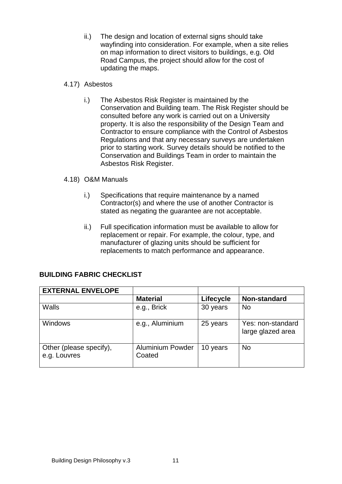ii.) The design and location of external signs should take wayfinding into consideration. For example, when a site relies on map information to direct visitors to buildings, e.g. Old Road Campus, the project should allow for the cost of updating the maps.

#### 4.17) Asbestos

i.) The Asbestos Risk Register is maintained by the Conservation and Building team. The Risk Register should be consulted before any work is carried out on a University property. It is also the responsibility of the Design Team and Contractor to ensure compliance with the Control of Asbestos Regulations and that any necessary surveys are undertaken prior to starting work. Survey details should be notified to the Conservation and Buildings Team in order to maintain the Asbestos Risk Register.

#### 4.18) O&M Manuals

- i.) Specifications that require maintenance by a named Contractor(s) and where the use of another Contractor is stated as negating the guarantee are not acceptable.
- ii.) Full specification information must be available to allow for replacement or repair. For example, the colour, type, and manufacturer of glazing units should be sufficient for replacements to match performance and appearance.

| <b>EXTERNAL ENVELOPE</b>                |                                   |           |                                        |
|-----------------------------------------|-----------------------------------|-----------|----------------------------------------|
|                                         | <b>Material</b>                   | Lifecycle | <b>Non-standard</b>                    |
| Walls                                   | e.g., Brick                       | 30 years  | <b>No</b>                              |
| <b>Windows</b>                          | e.g., Aluminium                   | 25 years  | Yes: non-standard<br>large glazed area |
| Other (please specify),<br>e.g. Louvres | <b>Aluminium Powder</b><br>Coated | 10 years  | <b>No</b>                              |

# **BUILDING FABRIC CHECKLIST**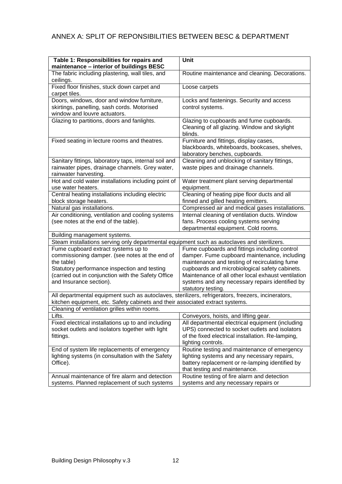# ANNEX A: SPLIT OF REPONSIBILITIES BETWEEN BESC & DEPARTMENT

| Table 1: Responsibilities for repairs and<br>maintenance - interior of buildings BESC              | Unit                                                                                     |  |  |  |
|----------------------------------------------------------------------------------------------------|------------------------------------------------------------------------------------------|--|--|--|
| The fabric including plastering, wall tiles, and                                                   | Routine maintenance and cleaning. Decorations.                                           |  |  |  |
| ceilings.                                                                                          |                                                                                          |  |  |  |
| Fixed floor finishes, stuck down carpet and                                                        | Loose carpets                                                                            |  |  |  |
| carpet tiles.                                                                                      |                                                                                          |  |  |  |
| Doors, windows, door and window furniture,                                                         | Locks and fastenings. Security and access                                                |  |  |  |
| skirtings, panelling, sash cords. Motorised                                                        | control systems.                                                                         |  |  |  |
| window and louvre actuators.                                                                       |                                                                                          |  |  |  |
| Glazing to partitions, doors and fanlights.                                                        | Glazing to cupboards and fume cupboards.                                                 |  |  |  |
|                                                                                                    | Cleaning of all glazing. Window and skylight                                             |  |  |  |
|                                                                                                    | blinds.                                                                                  |  |  |  |
| Fixed seating in lecture rooms and theatres.                                                       | Furniture and fittings, display cases,                                                   |  |  |  |
|                                                                                                    | blackboards, whiteboards, bookcases, shelves,                                            |  |  |  |
|                                                                                                    | laboratory benches, cupboards.                                                           |  |  |  |
| Sanitary fittings, laboratory taps, internal soil and                                              | Cleaning and unblocking of sanitary fittings,                                            |  |  |  |
| rainwater pipes, drainage channels. Grey water,                                                    | waste pipes and drainage channels.                                                       |  |  |  |
| rainwater harvesting.<br>Hot and cold water installations including point of                       | Water treatment plant serving departmental                                               |  |  |  |
| use water heaters.                                                                                 | equipment.                                                                               |  |  |  |
| Central heating installations including electric                                                   | Cleaning of heating pipe floor ducts and all                                             |  |  |  |
| block storage heaters.                                                                             | finned and gilled heating emitters.                                                      |  |  |  |
| Natural gas installations.                                                                         | Compressed air and medical gases installations.                                          |  |  |  |
| Air conditioning, ventilation and cooling systems                                                  | Internal cleaning of ventilation ducts. Window                                           |  |  |  |
| (see notes at the end of the table).                                                               | fans. Process cooling systems serving                                                    |  |  |  |
|                                                                                                    | departmental equipment. Cold rooms.                                                      |  |  |  |
| Building management systems.                                                                       |                                                                                          |  |  |  |
| Steam installations serving only departmental equipment such as autoclaves and sterilizers.        |                                                                                          |  |  |  |
| Fume cupboard extract systems up to                                                                | Fume cupboards and fittings including control                                            |  |  |  |
| commissioning damper. (see notes at the end of                                                     | damper. Fume cupboard maintenance, including                                             |  |  |  |
| the table)                                                                                         | maintenance and testing of recirculating fume                                            |  |  |  |
| Statutory performance inspection and testing                                                       | cupboards and microbiological safety cabinets.                                           |  |  |  |
| (carried out in conjunction with the Safety Office                                                 | Maintenance of all other local exhaust ventilation                                       |  |  |  |
| and Insurance section).                                                                            | systems and any necessary repairs identified by                                          |  |  |  |
|                                                                                                    | statutory testing.                                                                       |  |  |  |
| All departmental equipment such as autoclaves, sterilizers, refrigerators, freezers, incinerators, |                                                                                          |  |  |  |
| kitchen equipment, etc. Safety cabinets and their associated extract systems.                      |                                                                                          |  |  |  |
| Cleaning of ventilation grilles within rooms.<br>Lifts.                                            |                                                                                          |  |  |  |
| Fixed electrical installations up to and including                                                 | Conveyors, hoists, and lifting gear.<br>All departmental electrical equipment (including |  |  |  |
| socket outlets and isolators together with light                                                   | UPS) connected to socket outlets and isolators                                           |  |  |  |
| fittings.                                                                                          | of the fixed electrical installation. Re-lamping,                                        |  |  |  |
|                                                                                                    | lighting controls.                                                                       |  |  |  |
| End of system life replacements of emergency                                                       | Routine testing and maintenance of emergency                                             |  |  |  |
| lighting systems (in consultation with the Safety                                                  | lighting systems and any necessary repairs,                                              |  |  |  |
| Office).                                                                                           | battery replacement or re-lamping identified by                                          |  |  |  |
|                                                                                                    | that testing and maintenance.                                                            |  |  |  |
| Annual maintenance of fire alarm and detection                                                     | Routine testing of fire alarm and detection                                              |  |  |  |
| systems. Planned replacement of such systems                                                       | systems and any necessary repairs or                                                     |  |  |  |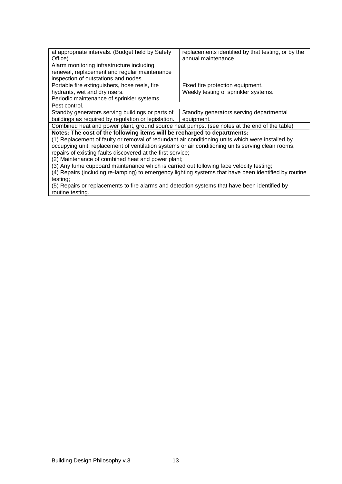| at appropriate intervals. (Budget held by Safety                                                      | replacements identified by that testing, or by the |  |  |  |
|-------------------------------------------------------------------------------------------------------|----------------------------------------------------|--|--|--|
| Office).                                                                                              | annual maintenance.                                |  |  |  |
| Alarm monitoring infrastructure including                                                             |                                                    |  |  |  |
| renewal, replacement and regular maintenance                                                          |                                                    |  |  |  |
| inspection of outstations and nodes.                                                                  |                                                    |  |  |  |
| Portable fire extinguishers, hose reels, fire                                                         | Fixed fire protection equipment.                   |  |  |  |
| hydrants, wet and dry risers.                                                                         | Weekly testing of sprinkler systems.               |  |  |  |
| Periodic maintenance of sprinkler systems                                                             |                                                    |  |  |  |
| Pest control.                                                                                         |                                                    |  |  |  |
| Standby generators serving buildings or parts of                                                      | Standby generators serving departmental            |  |  |  |
| buildings as required by regulation or legislation.                                                   | equipment.                                         |  |  |  |
| Combined heat and power plant, ground source heat pumps. (see notes at the end of the table)          |                                                    |  |  |  |
| Notes: The cost of the following items will be recharged to departments:                              |                                                    |  |  |  |
| (1) Replacement of faulty or removal of redundant air conditioning units which were installed by      |                                                    |  |  |  |
| occupying unit, replacement of ventilation systems or air conditioning units serving clean rooms,     |                                                    |  |  |  |
| repairs of existing faults discovered at the first service;                                           |                                                    |  |  |  |
| (2) Maintenance of combined heat and power plant;                                                     |                                                    |  |  |  |
| (3) Any fume cupboard maintenance which is carried out following face velocity testing;               |                                                    |  |  |  |
| (4) Repairs (including re-lamping) to emergency lighting systems that have been identified by routine |                                                    |  |  |  |
| testing;                                                                                              |                                                    |  |  |  |
| (5) Repairs or replacements to fire alarms and detection systems that have been identified by         |                                                    |  |  |  |
| routine testing.                                                                                      |                                                    |  |  |  |